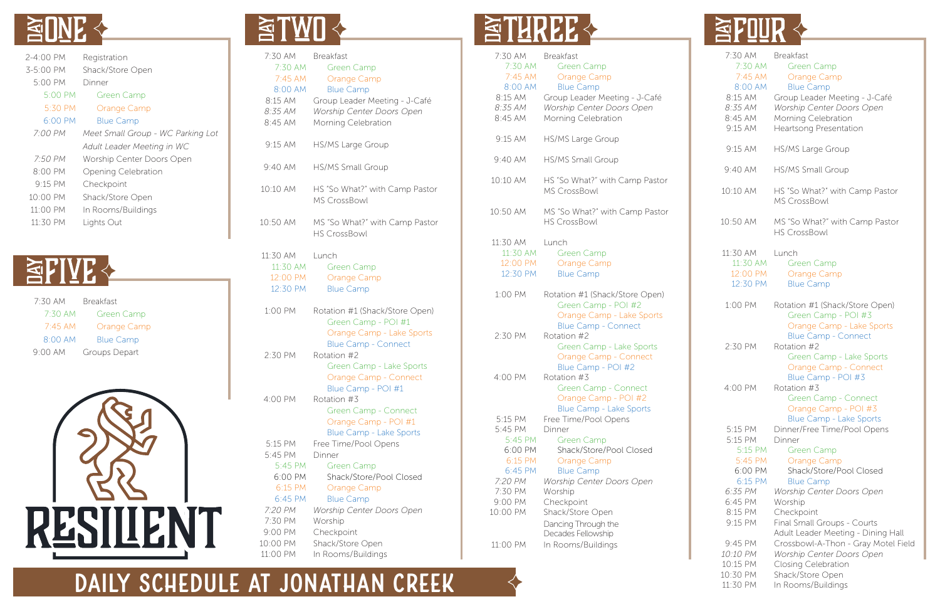| 7:30 AM<br>7:30 AM<br>7:45 AM<br><b>MA 00:8</b><br>8:15 AM<br>8:35 AM<br>8:45 AM | <b>Breakfast</b><br><b>Green Camp</b><br>Orange Camp<br><b>Blue Camp</b><br>Group Leader Meeting - J-Café<br>Worship Center Doors Open<br>Morning Celebration |
|----------------------------------------------------------------------------------|---------------------------------------------------------------------------------------------------------------------------------------------------------------|
| 9:15 AM                                                                          | <b>HS/MS Large Group</b>                                                                                                                                      |
| 9:40 AM                                                                          | <b>HS/MS Small Group</b>                                                                                                                                      |
| 10:10 AM                                                                         | HS "So What?" with Camp Pastor<br><b>MS CrossBowl</b>                                                                                                         |
| 10:50 AM                                                                         | MS "So What?" with Camp Pastor<br><b>HS CrossBowl</b>                                                                                                         |
| 11:30 AM<br>11:30 AM<br>12:00 PM<br>12:30 PM                                     | Lunch<br><b>Green Camp</b><br>Orange Camp<br><b>Blue Camp</b>                                                                                                 |
| 1:00 PM                                                                          | Rotation #1 (Shack/Store Open)<br>Green Camp - POI #1<br>Orange Camp - Lake Sports<br><b>Blue Camp - Connect</b>                                              |
| 2:30 PM                                                                          | Rotation #2<br>Green Camp - Lake Sports<br>Orange Camp - Connect<br>Blue Camp - POI #1                                                                        |
| 4:00 PM                                                                          | Rotation #3<br>Green Camp - Connect<br>Orange Camp - POI #1<br><b>Blue Camp - Lake Sports</b>                                                                 |
| 5:15 PM<br>5:45 PM<br>5:45 PM<br>6:00 PM<br>6:15 PM<br>6:45 PM                   | Free Time/Pool Opens<br>Dinner<br><b>Green Camp</b><br>Shack/Store/Pool Closed<br>Orange Camp<br><b>Blue Camp</b>                                             |
| 7:20 PM<br>7:30 PM<br>9:00 PM<br>10:00 PM<br>11:00 PM                            | <b>Worship Center Doors Open</b><br>Worship<br>Checkpoint<br>Shack/Store Open<br>In Rooms/Buildings                                                           |

## **ETHREE &**



| 2-4:00 PM           | Registration                      |
|---------------------|-----------------------------------|
| 3-5:00 PM           | Shack/Store Open                  |
| 5:00 PM             | Dinner                            |
| 5:00 PM             | Green Camp                        |
| 5:30 PM             | Orange Camp                       |
| $6:00 \, \text{PM}$ | <b>Blue Camp</b>                  |
| 7:00 PM             | Meet Small Group - WC Parking Lot |
|                     | Adult Leader Meeting in WC        |
| 7:50 PM             | Worship Center Doors Open         |
| 8:00 PM             | Opening Celebration               |
| $9.15$ PM           | Checkpoint                        |
| 10:00 PM            | Shack/Store Open                  |
| 11:00 PM            | In Rooms/Buildings                |
| 11:30 PM            | Lights Out                        |





| 7:30 AM<br>7:30 AM<br>7:45 AM<br>8:00 AM<br>8:15 AM<br>8:35 AM<br>8:45 AM | <b>Breakfast</b><br><b>Green Camp</b><br><b>Orange Camp</b><br><b>Blue Camp</b><br>Group Leader Meeting - J-Café<br>Worship Center Doors Open<br>Morning Celebration |
|---------------------------------------------------------------------------|----------------------------------------------------------------------------------------------------------------------------------------------------------------------|
| 9:15 AM                                                                   | <b>HS/MS Large Group</b>                                                                                                                                             |
| 9:40 AM                                                                   | <b>HS/MS Small Group</b>                                                                                                                                             |
| 10:10 AM                                                                  | HS "So What?" with Camp Pastor<br><b>MS CrossBowl</b>                                                                                                                |
| 10:50 AM                                                                  | MS "So What?" with Camp Pastor<br><b>HS CrossBowl</b>                                                                                                                |
| 11:30 AM<br>11:30 AM<br>12:00 PM<br>12:30 PM                              | Lunch<br><b>Green Camp</b><br>Orange Camp<br><b>Blue Camp</b>                                                                                                        |
| 1:00 PM                                                                   | Rotation #1 (Shack/Store Open)<br>Green Camp - POI #2<br>Orange Camp - Lake Sports                                                                                   |
| 2:30 PM                                                                   | <b>Blue Camp - Connect</b><br>Rotation #2<br>Green Camp - Lake Sports<br>Orange Camp - Connect                                                                       |
| 4:00 PM                                                                   | Blue Camp - POI #2<br>Rotation #3<br><b>Green Camp - Connect</b><br>Orange Camp - POI #2                                                                             |
| 5:15 PM<br>5:45 PM<br>5:45 PM<br>6:00 PM<br>6:15 PM<br>6:45 PM            | <b>Blue Camp - Lake Sports</b><br>Free Time/Pool Opens<br>Dinner<br><b>Green Camp</b><br>Shack/Store/Pool Closed<br>Orange Camp<br><b>Blue Camp</b>                  |
| 7:20 PM<br>7:30 PM                                                        | Worship Center Doors Open<br>Worship                                                                                                                                 |
| 9:00 PM                                                                   | Checkpoint                                                                                                                                                           |
| 10:00 PM                                                                  | Shack/Store Open                                                                                                                                                     |
|                                                                           | Dancing Through the<br>Decades Fellowship                                                                                                                            |
| 11:00 PM                                                                  | In Rooms/Buildings                                                                                                                                                   |

#### **DAILY SCHEDULE AT JONATHAN CREEK**



| 7:30 AM<br>7:30 AM<br>7:45 AM<br>8:00 AM<br>8:15 AM<br>8:35 AM<br>8:45 AM<br>9:15 AM | <b>Breakfast</b><br><b>Green Camp</b><br>Orange Camp<br><b>Blue Camp</b><br>Group Leader Meeting - J-Café<br>Worship Center Doors Open<br>Morning Celebration<br>Heartsong Presentation |
|--------------------------------------------------------------------------------------|-----------------------------------------------------------------------------------------------------------------------------------------------------------------------------------------|
| 9:15 AM                                                                              | <b>HS/MS Large Group</b>                                                                                                                                                                |
| 9:40 AM                                                                              | <b>HS/MS Small Group</b>                                                                                                                                                                |
| 10:10 AM                                                                             | HS "So What?" with Camp Pastor<br><b>MS CrossBowl</b>                                                                                                                                   |
| 10:50 AM                                                                             | MS "So What?" with Camp Pastor<br><b>HS CrossBowl</b>                                                                                                                                   |
| 11:30 AM<br>11:30 AM<br>12:00 PM<br>12:30 PM                                         | Lunch<br><b>Green Camp</b><br><b>Orange Camp</b><br><b>Blue Camp</b>                                                                                                                    |
| 1:00 PM                                                                              | Rotation #1 (Shack/Store Open)<br>Green Camp - POI #3<br>Orange Camp - Lake Sports<br><b>Blue Camp - Connect</b>                                                                        |
| 2:30 PM                                                                              | Rotation #2<br>Green Camp - Lake Sports<br>Orange Camp - Connect<br>Blue Camp - POI #3                                                                                                  |
| 4:00 PM                                                                              | Rotation #3<br>Green Camp - Connect<br>Orange Camp - POI #3<br><b>Blue Camp - Lake Sports</b>                                                                                           |
| 5:15 PM<br>5:15 PM<br>5:15 PM<br>5:45 PM<br>6:00 PM<br>6:15 PM<br>6:35 PM            | Dinner/Free Time/Pool Opens<br>Dinner<br>Green Camp<br><b>Orange Camp</b><br>Shack/Store/Pool Closed<br><b>Blue Camp</b><br><b>Worship Center Doors Open</b>                            |
| 6:45 PM<br>8:15 PM<br>9:15 PM                                                        | Worship<br>Checkpoint<br>Final Small Groups - Courts<br>Adult Leader Meeting - Dining Hall                                                                                              |
| 9:45 PM<br>10:10 PM<br>10:15 PM<br>10:30 PM<br>11:30 PM                              | Crossbowl-A-Thon - Gray Motel Field<br><b>Worship Center Doors Open</b><br>Closing Celebration<br>Shack/Store Open<br>In Rooms/Buildings                                                |